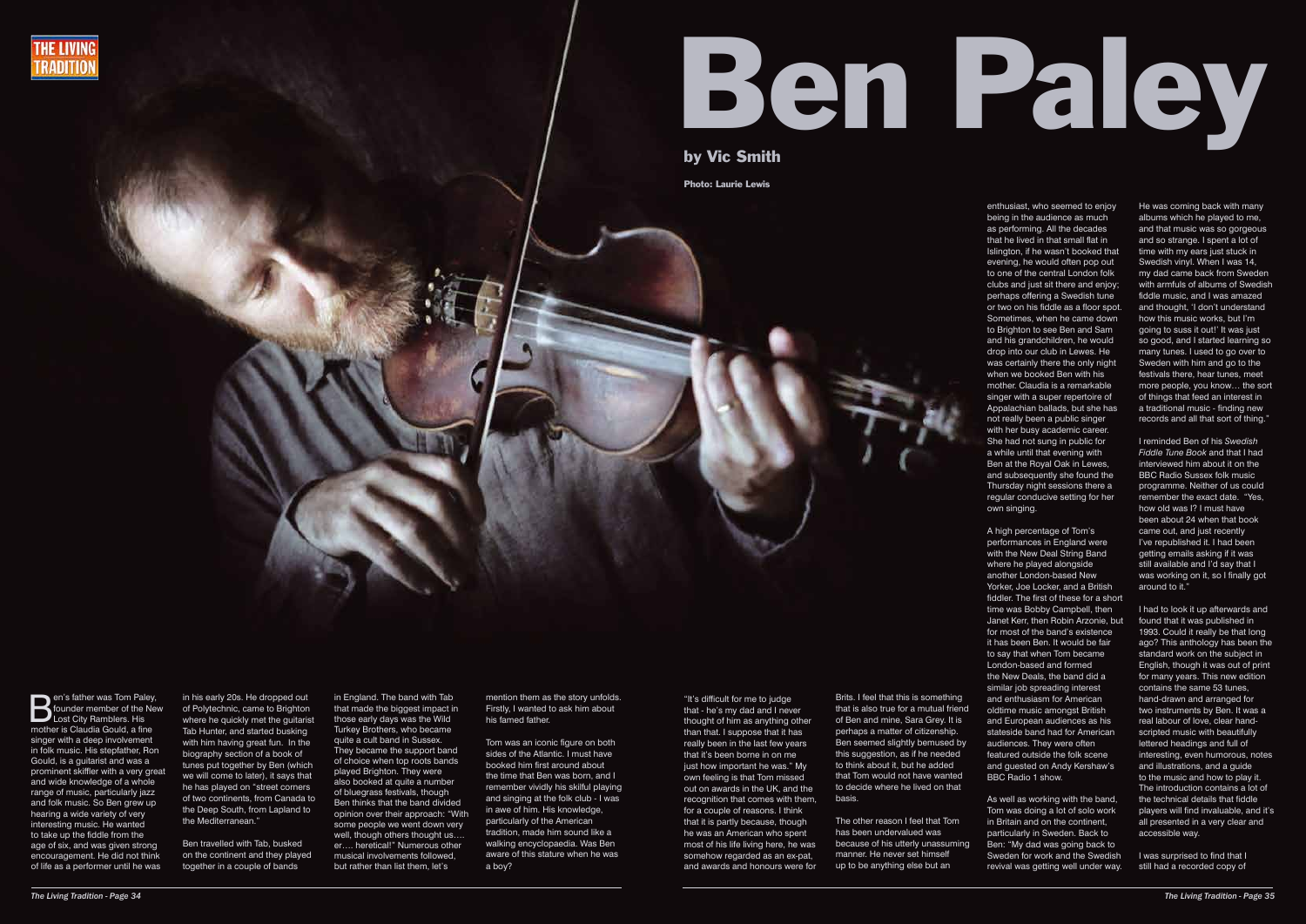



by Vic Smith

**B**en's father was Tom Paley,<br>founder member of the New<br>Lost City Ramblers. His founder member of the New Lost City Ramblers. His mother is Claudia Gould, a fine singer with a deep involvement in folk music. His stepfather, Ron Gould, is a guitarist and was a prominent skiffler with a very great and wide knowledge of a whole range of music, particularly jazz and folk music. So Ben grew up hearing a wide variety of very interesting music. He wanted to take up the fiddle from the age of six, and was given strong encouragement. He did not think of life as a performer until he was

in his early 20s. He dropped out of Polytechnic, came to Brighton where he quickly met the guitarist Tab Hunter, and started busking with him having great fun. In the biography section of a book of tunes put together by Ben (which we will come to later), it says that he has played on "street corners of two continents, from Canada to the Deep South, from Lapland to the Mediterranean."

Ben travelled with Tab, busked on the continent and they played together in a couple of bands

in England. The band with Tab that made the biggest impact in those early days was the Wild Turkey Brothers, who became quite a cult band in Sussex. They became the support band of choice when top roots bands played Brighton. They were also booked at quite a number of bluegrass festivals, though Ben thinks that the band divided opinion over their approach: "With some people we went down very well, though others thought us.... er…. heretical!" Numerous other musical involvements followed, but rather than list them, let's

mention them as the story unfolds. Firstly, I wanted to ask him about his famed father.

Tom was an iconic figure on both sides of the Atlantic. I must have booked him first around about the time that Ben was born, and I remember vividly his skilful playing and singing at the folk club - I was in awe of him. His knowledge, particularly of the American tradition, made him sound like a walking encyclopaedia. Was Ben aware of this stature when he was a boy?

"It's difficult for me to judge that - he's my dad and I never thought of him as anything other than that. I suppose that it has really been in the last few years that it's been borne in on me just how important he was." My own feeling is that Tom missed out on awards in the UK, and the recognition that comes with them, for a couple of reasons. I think that it is partly because, though he was an American who spent most of his life living here, he was somehow regarded as an ex-pat, and awards and honours were for

Brits. I feel that this is something that is also true for a mutual friend of Ben and mine, Sara Grey. It is perhaps a matter of citizenship. Ben seemed slightly bemused by this suggestion, as if he needed to think about it, but he added that Tom would not have wanted to decide where he lived on that basis.

The other reason I feel that Tom has been undervalued was because of his utterly unassuming manner. He never set himself up to be anything else but an

enthusiast, who seemed to enjoy being in the audience as much as performing. All the decades that he lived in that small flat in Islington, if he wasn't booked that evening, he would often pop out to one of the central London folk clubs and just sit there and enjoy; perhaps offering a Swedish tune or two on his fiddle as a floor spot. Sometimes, when he came down to Brighton to see Ben and Sam and his grandchildren, he would drop into our club in Lewes. He was certainly there the only night when we booked Ben with his mother. Claudia is a remarkable singer with a super repertoire of Appalachian ballads, but she has not really been a public singer with her busy academic career. She had not sung in public for a while until that evening with Ben at the Royal Oak in Lewes, and subsequently she found the Thursday night sessions there a regular conducive setting for her own singing.

A high percentage of Tom's performances in England were with the New Deal String Band where he played alongside another London-based New Yorker, Joe Locker, and a British fiddler. The first of these for a short time was Bobby Campbell, then Janet Kerr, then Robin Arzonie, but for most of the band's existence it has been Ben. It would be fair to say that when Tom became London-based and formed the New Deals, the band did a similar job spreading interest and enthusiasm for American oldtime music amongst British and European audiences as his stateside band had for American audiences. They were often featured outside the folk scene and guested on Andy Kershaw's BBC Radio 1 show.

As well as working with the band, Tom was doing a lot of solo work in Britain and on the continent, particularly in Sweden. Back to Ben: "My dad was going back to Sweden for work and the Swedish revival was getting well under way. He was coming back with many albums which he played to me, and that music was so gorgeous and so strange. I spent a lot of time with my ears just stuck in Swedish vinyl. When I was 14, my dad came back from Sweden with armfuls of albums of Swedish fiddle music, and I was amazed and thought, 'I don't understand how this music works, but I'm going to suss it out!' It was just so good, and I started learning so many tunes. I used to go over to Sweden with him and go to the festivals there, hear tunes, meet more people, you know… the sort of things that feed an interest in a traditional music - finding new records and all that sort of thing."

I reminded Ben of his *Swedish Fiddle Tune Book* and that I had interviewed him about it on the BBC Radio Sussex folk music programme. Neither of us could remember the exact date. "Yes, how old was I? I must have been about 24 when that book came out, and just recently I've republished it. I had been getting emails asking if it was still available and I'd say that I was working on it, so I finally got around to it."

I had to look it up afterwards and found that it was published in 1993. Could it really be that long ago? This anthology has been the standard work on the subject in English, though it was out of print for many years. This new edition contains the same 53 tunes, hand-drawn and arranged for two instruments by Ben. It was a real labour of love, clear handscripted music with beautifully lettered headings and full of interesting, even humorous, notes and illustrations, and a guide to the music and how to play it. The introduction contains a lot of the technical details that fiddle players will find invaluable, and it's all presented in a very clear and accessible way.

I was surprised to find that I still had a recorded copy of

Photo: Laurie Lewis